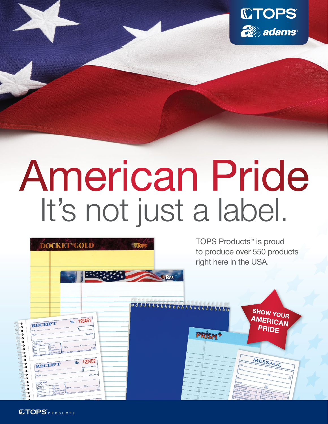

# American Pride It's not just a label.



**CTOPS**PRODUCTS